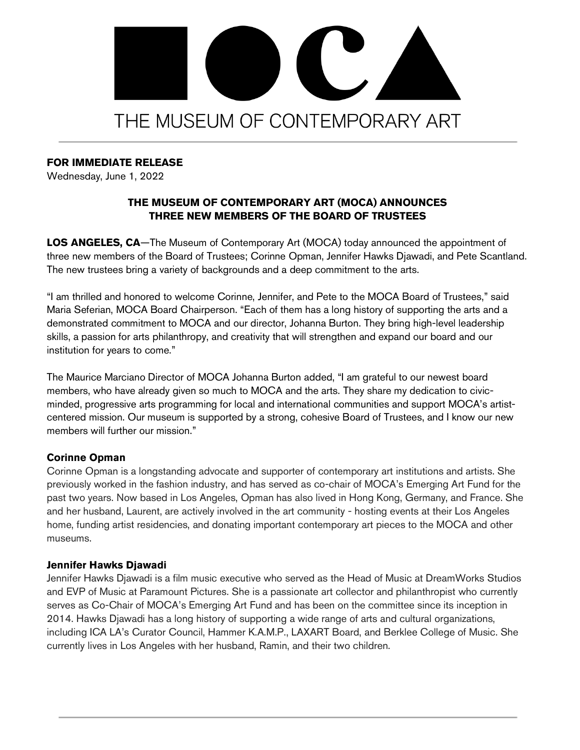# OC. THE MUSEUM OF CONTEMPORARY ART

## **FOR IMMEDIATE RELEASE**

Wednesday, June 1, 2022

# **THE MUSEUM OF CONTEMPORARY ART (MOCA) ANNOUNCES THREE NEW MEMBERS OF THE BOARD OF TRUSTEES**

**LOS ANGELES, CA**—The Museum of Contemporary Art (MOCA) today announced the appointment of three new members of the Board of Trustees; Corinne Opman, Jennifer Hawks Djawadi, and Pete Scantland. The new trustees bring a variety of backgrounds and a deep commitment to the arts.

"I am thrilled and honored to welcome Corinne, Jennifer, and Pete to the MOCA Board of Trustees," said Maria Seferian, MOCA Board Chairperson. "Each of them has a long history of supporting the arts and a demonstrated commitment to MOCA and our director, Johanna Burton. They bring high-level leadership skills, a passion for arts philanthropy, and creativity that will strengthen and expand our board and our institution for years to come."

The Maurice Marciano Director of MOCA Johanna Burton added, "I am grateful to our newest board members, who have already given so much to MOCA and the arts. They share my dedication to civicminded, progressive arts programming for local and international communities and support MOCA's artistcentered mission. Our museum is supported by a strong, cohesive Board of Trustees, and I know our new members will further our mission."

### **Corinne Opman**

Corinne Opman is a longstanding advocate and supporter of contemporary art institutions and artists. She previously worked in the fashion industry, and has served as co-chair of MOCA's Emerging Art Fund for the past two years. Now based in Los Angeles, Opman has also lived in Hong Kong, Germany, and France. She and her husband, Laurent, are actively involved in the art community - hosting events at their Los Angeles home, funding artist residencies, and donating important contemporary art pieces to the MOCA and other museums.

### **Jennifer Hawks Djawadi**

Jennifer Hawks Djawadi is a film music executive who served as the Head of Music at DreamWorks Studios and EVP of Music at Paramount Pictures. She is a passionate art collector and philanthropist who currently serves as Co-Chair of MOCA's Emerging Art Fund and has been on the committee since its inception in 2014. Hawks Djawadi has a long history of supporting a wide range of arts and cultural organizations, including ICA LA's Curator Council, Hammer K.A.M.P., LAXART Board, and Berklee College of Music. She currently lives in Los Angeles with her husband, Ramin, and their two children.